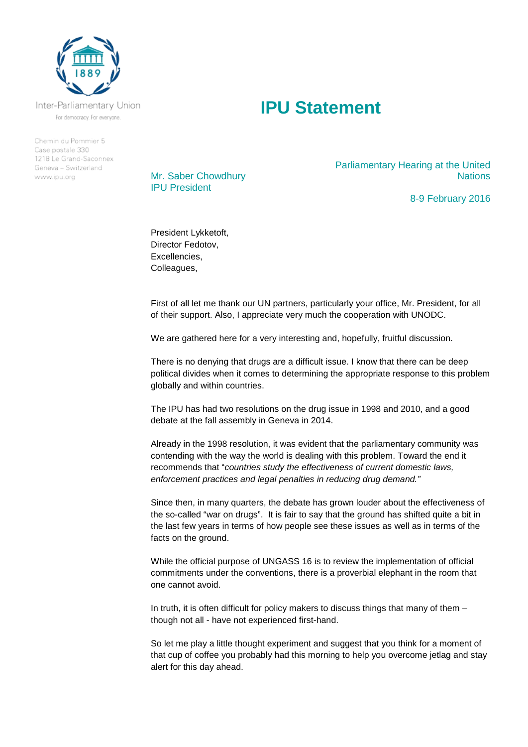

Inter-Parliamentary Union For democracy. For everyone.

Chemin du Pommier 5 Case postale 330 1218 Le Grand-Saconnex Geneva - Switzerland www.ipu.org



Mr. Saber Chowdhury IPU President

Parliamentary Hearing at the United **Nations** 

8-9 February 2016

President Lykketoft, Director Fedotov, Excellencies, Colleagues,

First of all let me thank our UN partners, particularly your office, Mr. President, for all of their support. Also, I appreciate very much the cooperation with UNODC.

We are gathered here for a very interesting and, hopefully, fruitful discussion.

There is no denying that drugs are a difficult issue. I know that there can be deep political divides when it comes to determining the appropriate response to this problem globally and within countries.

The IPU has had two resolutions on the drug issue in 1998 and 2010, and a good debate at the fall assembly in Geneva in 2014.

Already in the 1998 resolution, it was evident that the parliamentary community was contending with the way the world is dealing with this problem. Toward the end it recommends that "*countries study the effectiveness of current domestic laws, enforcement practices and legal penalties in reducing drug demand."*

Since then, in many quarters, the debate has grown louder about the effectiveness of the so-called "war on drugs". It is fair to say that the ground has shifted quite a bit in the last few years in terms of how people see these issues as well as in terms of the facts on the ground.

While the official purpose of UNGASS 16 is to review the implementation of official commitments under the conventions, there is a proverbial elephant in the room that one cannot avoid.

In truth, it is often difficult for policy makers to discuss things that many of them – though not all - have not experienced first-hand.

So let me play a little thought experiment and suggest that you think for a moment of that cup of coffee you probably had this morning to help you overcome jetlag and stay alert for this day ahead.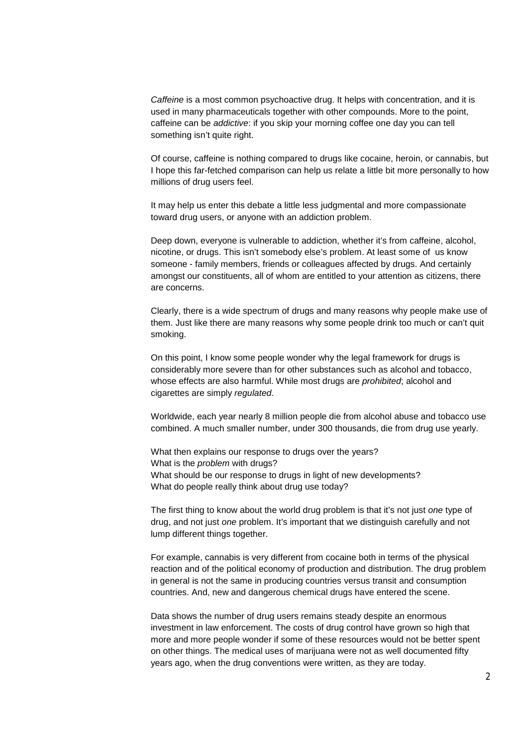*Caffeine* is a most common psychoactive drug. It helps with concentration, and it is used in many pharmaceuticals together with other compounds. More to the point, caffeine can be *addictive*: if you skip your morning coffee one day you can tell something isn't quite right.

Of course, caffeine is nothing compared to drugs like cocaine, heroin, or cannabis, but I hope this far-fetched comparison can help us relate a little bit more personally to how millions of drug users feel.

It may help us enter this debate a little less judgmental and more compassionate toward drug users, or anyone with an addiction problem.

Deep down, everyone is vulnerable to addiction, whether it's from caffeine, alcohol, nicotine, or drugs. This isn't somebody else's problem. At least some of us know someone - family members, friends or colleagues affected by drugs. And certainly amongst our constituents, all of whom are entitled to your attention as citizens, there are concerns.

Clearly, there is a wide spectrum of drugs and many reasons why people make use of them. Just like there are many reasons why some people drink too much or can't quit smoking.

On this point, I know some people wonder why the legal framework for drugs is considerably more severe than for other substances such as alcohol and tobacco, whose effects are also harmful. While most drugs are *prohibited*; alcohol and cigarettes are simply *regulated*.

Worldwide, each year nearly 8 million people die from alcohol abuse and tobacco use combined. A much smaller number, under 300 thousands, die from drug use yearly.

What then explains our response to drugs over the years? What is the *problem* with drugs? What should be our response to drugs in light of new developments? What do people really think about drug use today?

The first thing to know about the world drug problem is that it's not just *one* type of drug, and not just *one* problem. It's important that we distinguish carefully and not lump different things together.

For example, cannabis is very different from cocaine both in terms of the physical reaction and of the political economy of production and distribution. The drug problem in general is not the same in producing countries versus transit and consumption countries. And, new and dangerous chemical drugs have entered the scene.

Data shows the number of drug users remains steady despite an enormous investment in law enforcement. The costs of drug control have grown so high that more and more people wonder if some of these resources would not be better spent on other things. The medical uses of marijuana were not as well documented fifty years ago, when the drug conventions were written, as they are today.